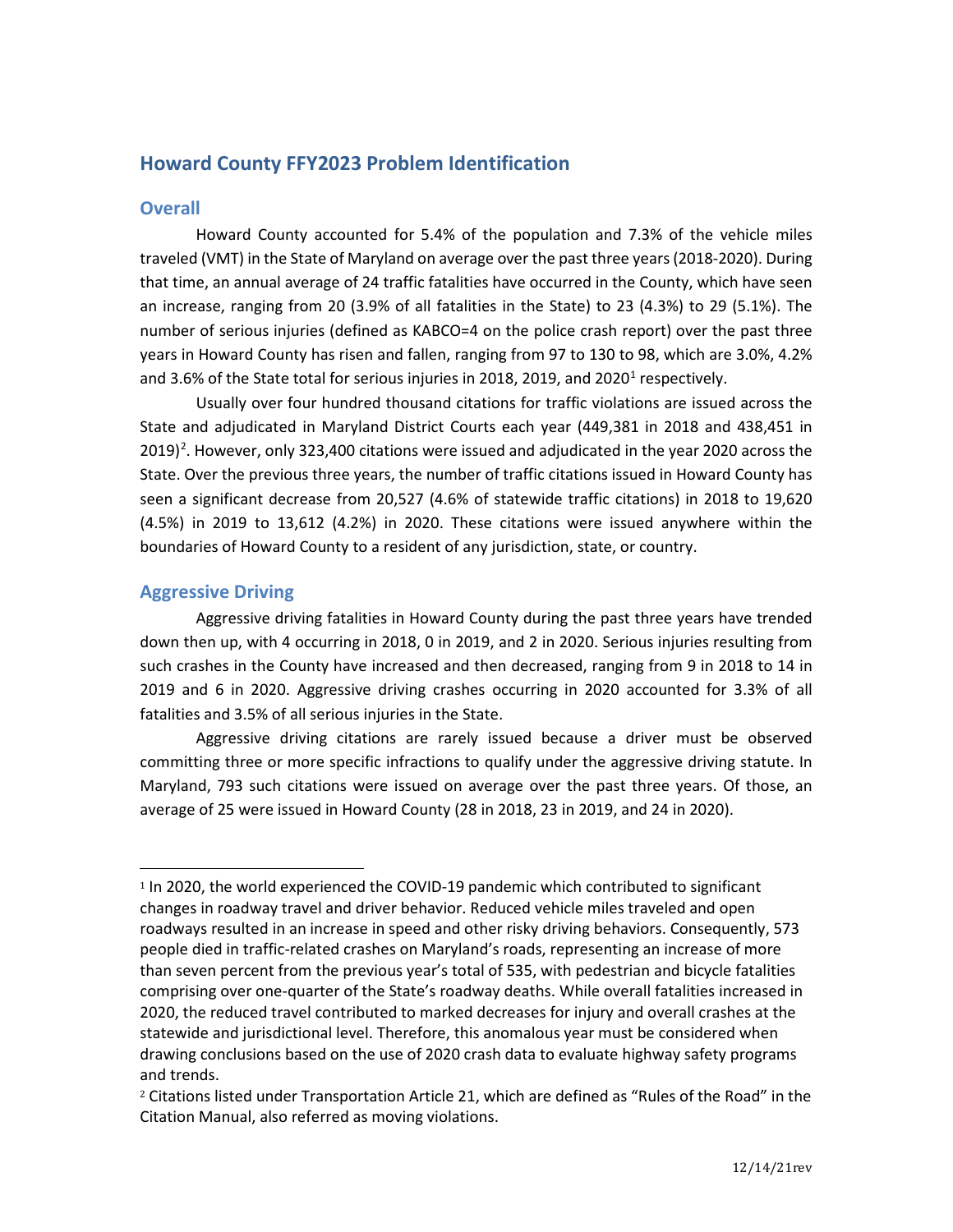# **Howard County FFY2023 Problem Identification**

## **Overall**

Howard County accounted for 5.4% of the population and 7.3% of the vehicle miles traveled (VMT) in the State of Maryland on average over the past three years (2018-2020). During that time, an annual average of 24 traffic fatalities have occurred in the County, which have seen an increase, ranging from 20 (3.9% of all fatalities in the State) to 23 (4.3%) to 29 (5.1%). The number of serious injuries (defined as KABCO=4 on the police crash report) over the past three years in Howard County has risen and fallen, ranging from 97 to 130 to 98, which are 3.0%, 4.2% and 3.6% of the State total for serious injuries in 20[1](#page-0-0)8, 2019, and 2020<sup>1</sup> respectively.

Usually over four hundred thousand citations for traffic violations are issued across the State and adjudicated in Maryland District Courts each year (449,381 in 2018 and 438,451 in [2](#page-0-1)019)<sup>2</sup>. However, only 323,400 citations were issued and adjudicated in the year 2020 across the State. Over the previous three years, the number of traffic citations issued in Howard County has seen a significant decrease from 20,527 (4.6% of statewide traffic citations) in 2018 to 19,620 (4.5%) in 2019 to 13,612 (4.2%) in 2020. These citations were issued anywhere within the boundaries of Howard County to a resident of any jurisdiction, state, or country.

## **Aggressive Driving**

Aggressive driving fatalities in Howard County during the past three years have trended down then up, with 4 occurring in 2018, 0 in 2019, and 2 in 2020. Serious injuries resulting from such crashes in the County have increased and then decreased, ranging from 9 in 2018 to 14 in 2019 and 6 in 2020. Aggressive driving crashes occurring in 2020 accounted for 3.3% of all fatalities and 3.5% of all serious injuries in the State.

Aggressive driving citations are rarely issued because a driver must be observed committing three or more specific infractions to qualify under the aggressive driving statute. In Maryland, 793 such citations were issued on average over the past three years. Of those, an average of 25 were issued in Howard County (28 in 2018, 23 in 2019, and 24 in 2020).

<span id="page-0-0"></span><sup>1</sup> In 2020, the world experienced the COVID-19 pandemic which contributed to significant changes in roadway travel and driver behavior. Reduced vehicle miles traveled and open roadways resulted in an increase in speed and other risky driving behaviors. Consequently, 573 people died in traffic-related crashes on Maryland's roads, representing an increase of more than seven percent from the previous year's total of 535, with pedestrian and bicycle fatalities comprising over one-quarter of the State's roadway deaths. While overall fatalities increased in 2020, the reduced travel contributed to marked decreases for injury and overall crashes at the statewide and jurisdictional level. Therefore, this anomalous year must be considered when drawing conclusions based on the use of 2020 crash data to evaluate highway safety programs and trends.

<span id="page-0-1"></span><sup>2</sup> Citations listed under Transportation Article 21, which are defined as "Rules of the Road" in the Citation Manual, also referred as moving violations.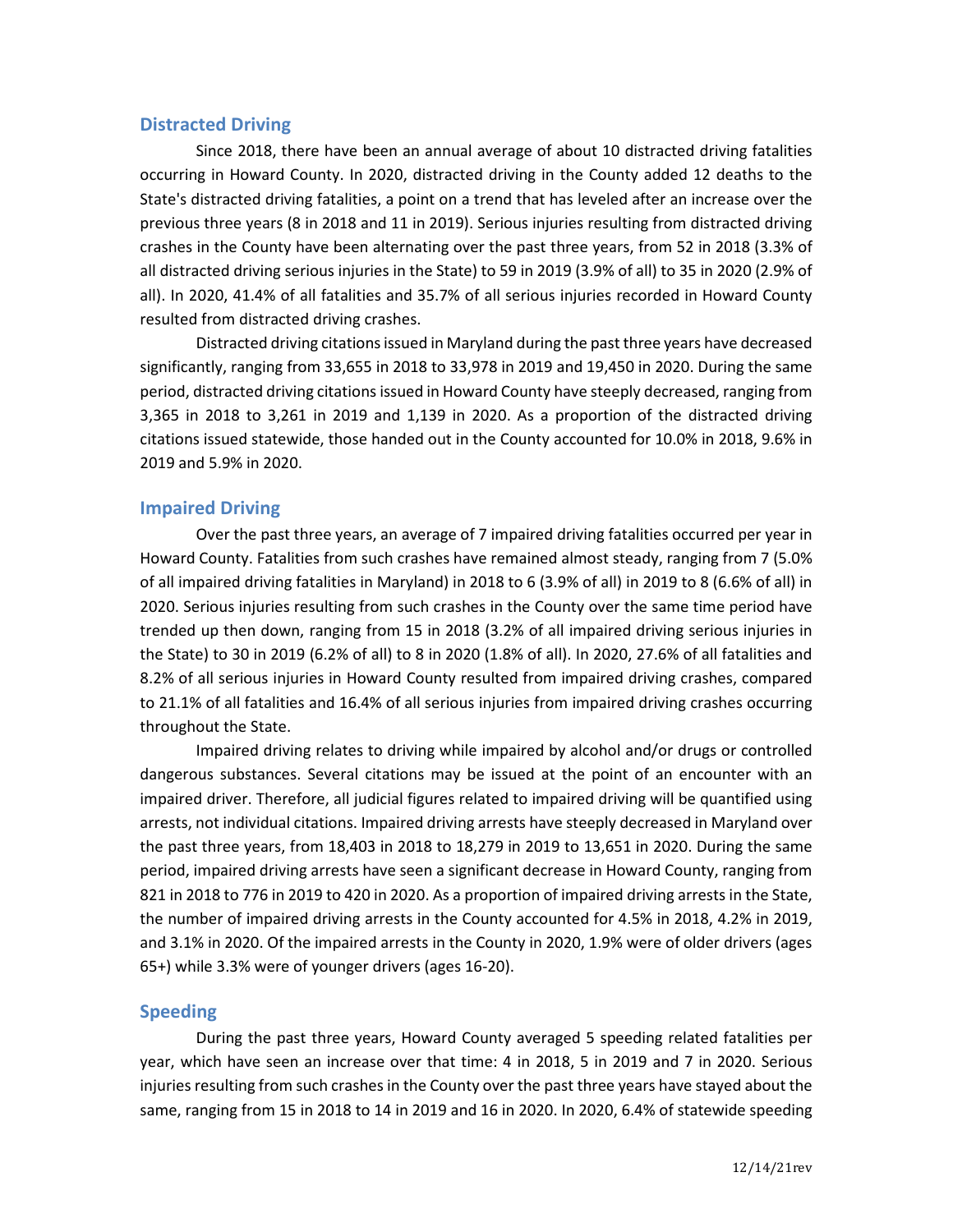### **Distracted Driving**

Since 2018, there have been an annual average of about 10 distracted driving fatalities occurring in Howard County. In 2020, distracted driving in the County added 12 deaths to the State's distracted driving fatalities, a point on a trend that has leveled after an increase over the previous three years (8 in 2018 and 11 in 2019). Serious injuries resulting from distracted driving crashes in the County have been alternating over the past three years, from 52 in 2018 (3.3% of all distracted driving serious injuries in the State) to 59 in 2019 (3.9% of all) to 35 in 2020 (2.9% of all). In 2020, 41.4% of all fatalities and 35.7% of all serious injuries recorded in Howard County resulted from distracted driving crashes.

Distracted driving citations issued in Maryland during the past three years have decreased significantly, ranging from 33,655 in 2018 to 33,978 in 2019 and 19,450 in 2020. During the same period, distracted driving citations issued in Howard County have steeply decreased, ranging from 3,365 in 2018 to 3,261 in 2019 and 1,139 in 2020. As a proportion of the distracted driving citations issued statewide, those handed out in the County accounted for 10.0% in 2018, 9.6% in 2019 and 5.9% in 2020.

### **Impaired Driving**

Over the past three years, an average of 7 impaired driving fatalities occurred per year in Howard County. Fatalities from such crashes have remained almost steady, ranging from 7 (5.0% of all impaired driving fatalities in Maryland) in 2018 to 6 (3.9% of all) in 2019 to 8 (6.6% of all) in 2020. Serious injuries resulting from such crashes in the County over the same time period have trended up then down, ranging from 15 in 2018 (3.2% of all impaired driving serious injuries in the State) to 30 in 2019 (6.2% of all) to 8 in 2020 (1.8% of all). In 2020, 27.6% of all fatalities and 8.2% of all serious injuries in Howard County resulted from impaired driving crashes, compared to 21.1% of all fatalities and 16.4% of all serious injuries from impaired driving crashes occurring throughout the State.

Impaired driving relates to driving while impaired by alcohol and/or drugs or controlled dangerous substances. Several citations may be issued at the point of an encounter with an impaired driver. Therefore, all judicial figures related to impaired driving will be quantified using arrests, not individual citations. Impaired driving arrests have steeply decreased in Maryland over the past three years, from 18,403 in 2018 to 18,279 in 2019 to 13,651 in 2020. During the same period, impaired driving arrests have seen a significant decrease in Howard County, ranging from 821 in 2018 to 776 in 2019 to 420 in 2020. As a proportion of impaired driving arrests in the State, the number of impaired driving arrests in the County accounted for 4.5% in 2018, 4.2% in 2019, and 3.1% in 2020. Of the impaired arrests in the County in 2020, 1.9% were of older drivers (ages 65+) while 3.3% were of younger drivers (ages 16-20).

### **Speeding**

During the past three years, Howard County averaged 5 speeding related fatalities per year, which have seen an increase over that time: 4 in 2018, 5 in 2019 and 7 in 2020. Serious injuries resulting from such crashes in the County over the past three years have stayed about the same, ranging from 15 in 2018 to 14 in 2019 and 16 in 2020. In 2020, 6.4% of statewide speeding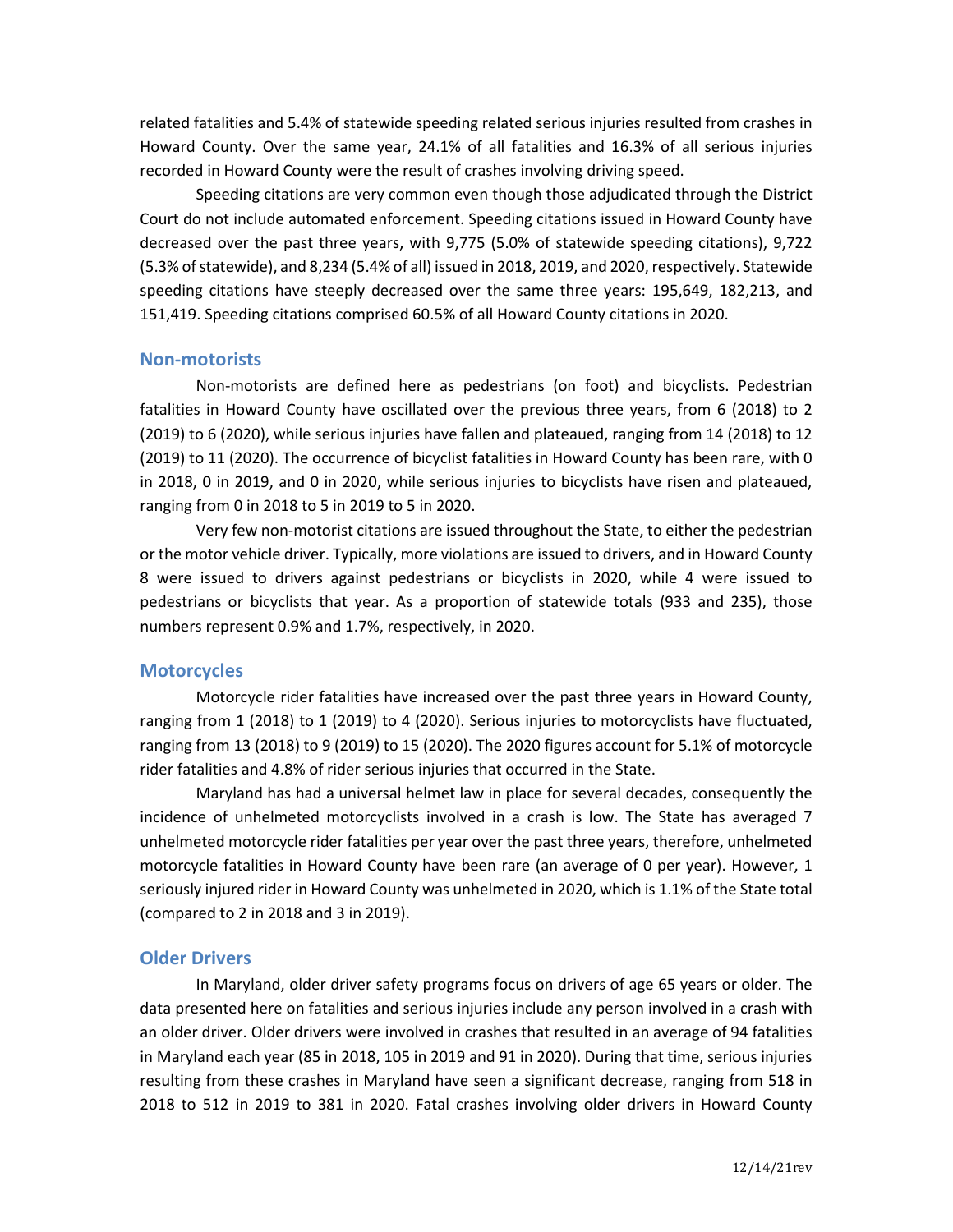related fatalities and 5.4% of statewide speeding related serious injuries resulted from crashes in Howard County. Over the same year, 24.1% of all fatalities and 16.3% of all serious injuries recorded in Howard County were the result of crashes involving driving speed.

Speeding citations are very common even though those adjudicated through the District Court do not include automated enforcement. Speeding citations issued in Howard County have decreased over the past three years, with 9,775 (5.0% of statewide speeding citations), 9,722 (5.3% of statewide), and 8,234 (5.4% of all) issued in 2018, 2019, and 2020, respectively. Statewide speeding citations have steeply decreased over the same three years: 195,649, 182,213, and 151,419. Speeding citations comprised 60.5% of all Howard County citations in 2020.

#### **Non-motorists**

Non-motorists are defined here as pedestrians (on foot) and bicyclists. Pedestrian fatalities in Howard County have oscillated over the previous three years, from 6 (2018) to 2 (2019) to 6 (2020), while serious injuries have fallen and plateaued, ranging from 14 (2018) to 12 (2019) to 11 (2020). The occurrence of bicyclist fatalities in Howard County has been rare, with 0 in 2018, 0 in 2019, and 0 in 2020, while serious injuries to bicyclists have risen and plateaued, ranging from 0 in 2018 to 5 in 2019 to 5 in 2020.

Very few non-motorist citations are issued throughout the State, to either the pedestrian or the motor vehicle driver. Typically, more violations are issued to drivers, and in Howard County 8 were issued to drivers against pedestrians or bicyclists in 2020, while 4 were issued to pedestrians or bicyclists that year. As a proportion of statewide totals (933 and 235), those numbers represent 0.9% and 1.7%, respectively, in 2020.

### **Motorcycles**

Motorcycle rider fatalities have increased over the past three years in Howard County, ranging from 1 (2018) to 1 (2019) to 4 (2020). Serious injuries to motorcyclists have fluctuated, ranging from 13 (2018) to 9 (2019) to 15 (2020). The 2020 figures account for 5.1% of motorcycle rider fatalities and 4.8% of rider serious injuries that occurred in the State.

Maryland has had a universal helmet law in place for several decades, consequently the incidence of unhelmeted motorcyclists involved in a crash is low. The State has averaged 7 unhelmeted motorcycle rider fatalities per year over the past three years, therefore, unhelmeted motorcycle fatalities in Howard County have been rare (an average of 0 per year). However, 1 seriously injured rider in Howard County was unhelmeted in 2020, which is 1.1% of the State total (compared to 2 in 2018 and 3 in 2019).

#### **Older Drivers**

In Maryland, older driver safety programs focus on drivers of age 65 years or older. The data presented here on fatalities and serious injuries include any person involved in a crash with an older driver. Older drivers were involved in crashes that resulted in an average of 94 fatalities in Maryland each year (85 in 2018, 105 in 2019 and 91 in 2020). During that time, serious injuries resulting from these crashes in Maryland have seen a significant decrease, ranging from 518 in 2018 to 512 in 2019 to 381 in 2020. Fatal crashes involving older drivers in Howard County